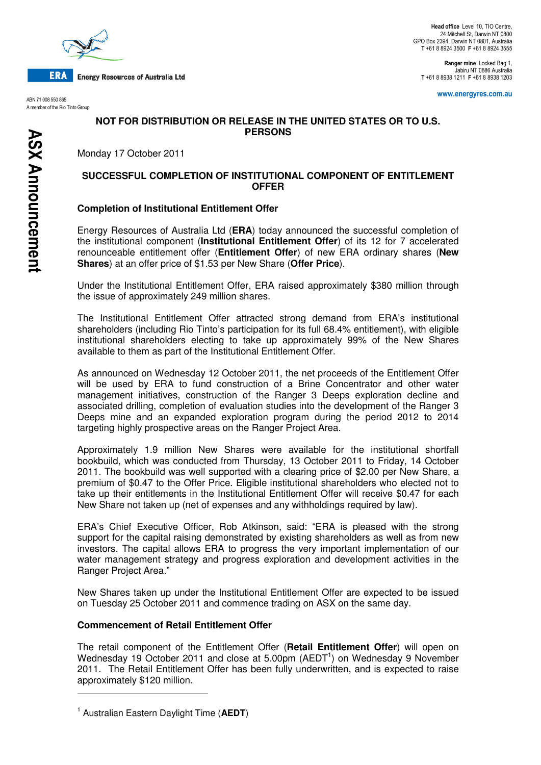

**ERA Energy Resources of Australia Ltd** 

ABN 71 008 550 865 A member of the Rio Tinto Group

Ranger mine Locked Bag 1, Jabiru NT 0886 Australia T +61 8 8938 1211 F +61 8 8938 1203

www.energyres.com.au

# **NOT FOR DISTRIBUTION OR RELEASE IN THE UNITED STATES OR TO U.S. PERSONS**

Monday 17 October 2011

## **SUCCESSFUL COMPLETION OF INSTITUTIONAL COMPONENT OF ENTITLEMENT OFFER**

## **Completion of Institutional Entitlement Offer**

Energy Resources of Australia Ltd (**ERA**) today announced the successful completion of the institutional component (**Institutional Entitlement Offer**) of its 12 for 7 accelerated renounceable entitlement offer (**Entitlement Offer**) of new ERA ordinary shares (**New Shares**) at an offer price of \$1.53 per New Share (**Offer Price**).

Under the Institutional Entitlement Offer, ERA raised approximately \$380 million through the issue of approximately 249 million shares.

The Institutional Entitlement Offer attracted strong demand from ERA's institutional shareholders (including Rio Tinto's participation for its full 68.4% entitlement), with eligible institutional shareholders electing to take up approximately 99% of the New Shares available to them as part of the Institutional Entitlement Offer.

As announced on Wednesday 12 October 2011, the net proceeds of the Entitlement Offer will be used by ERA to fund construction of a Brine Concentrator and other water management initiatives, construction of the Ranger 3 Deeps exploration decline and associated drilling, completion of evaluation studies into the development of the Ranger 3 Deeps mine and an expanded exploration program during the period 2012 to 2014 targeting highly prospective areas on the Ranger Project Area.

Approximately 1.9 million New Shares were available for the institutional shortfall bookbuild, which was conducted from Thursday, 13 October 2011 to Friday, 14 October 2011. The bookbuild was well supported with a clearing price of \$2.00 per New Share, a premium of \$0.47 to the Offer Price. Eligible institutional shareholders who elected not to take up their entitlements in the Institutional Entitlement Offer will receive \$0.47 for each New Share not taken up (net of expenses and any withholdings required by law).

ERA's Chief Executive Officer, Rob Atkinson, said: "ERA is pleased with the strong support for the capital raising demonstrated by existing shareholders as well as from new investors. The capital allows ERA to progress the very important implementation of our water management strategy and progress exploration and development activities in the Ranger Project Area."

New Shares taken up under the Institutional Entitlement Offer are expected to be issued on Tuesday 25 October 2011 and commence trading on ASX on the same day.

### **Commencement of Retail Entitlement Offer**

The retail component of the Entitlement Offer (**Retail Entitlement Offer**) will open on Wednesday 19 October 2011 and close at 5.00pm ( $AEDT<sup>1</sup>$ ) on Wednesday 9 November 2011. The Retail Entitlement Offer has been fully underwritten, and is expected to raise approximately \$120 million.

 $\overline{a}$ 

<sup>1</sup> Australian Eastern Daylight Time (**AEDT**)